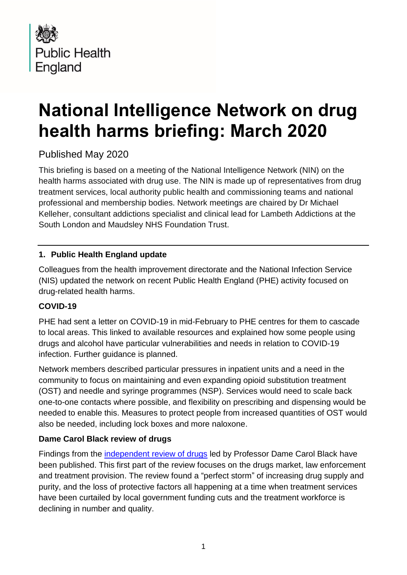

# **National Intelligence Network on drug health harms briefing: March 2020**

## Published May 2020

This briefing is based on a meeting of the National Intelligence Network (NIN) on the health harms associated with drug use. The NIN is made up of representatives from drug treatment services, local authority public health and commissioning teams and national professional and membership bodies. Network meetings are chaired by Dr Michael Kelleher, consultant addictions specialist and clinical lead for Lambeth Addictions at the South London and Maudsley NHS Foundation Trust.

## **1. Public Health England update**

Colleagues from the health improvement directorate and the National Infection Service (NIS) updated the network on recent Public Health England (PHE) activity focused on drug-related health harms.

## **COVID-19**

PHE had sent a letter on COVID-19 in mid-February to PHE centres for them to cascade to local areas. This linked to available resources and explained how some people using drugs and alcohol have particular vulnerabilities and needs in relation to COVID-19 infection. Further guidance is planned.

Network members described particular pressures in inpatient units and a need in the community to focus on maintaining and even expanding opioid substitution treatment (OST) and needle and syringe programmes (NSP). Services would need to scale back one-to-one contacts where possible, and flexibility on prescribing and dispensing would be needed to enable this. Measures to protect people from increased quantities of OST would also be needed, including lock boxes and more naloxone.

## **Dame Carol Black review of drugs**

Findings from the [independent review of drugs](https://www.gov.uk/government/collections/independent-review-of-drugs-by-professor-dame-carol-black) led by Professor Dame Carol Black have been published. This first part of the review focuses on the drugs market, law enforcement and treatment provision. The review found a "perfect storm" of increasing drug supply and purity, and the loss of protective factors all happening at a time when treatment services have been curtailed by local government funding cuts and the treatment workforce is declining in number and quality.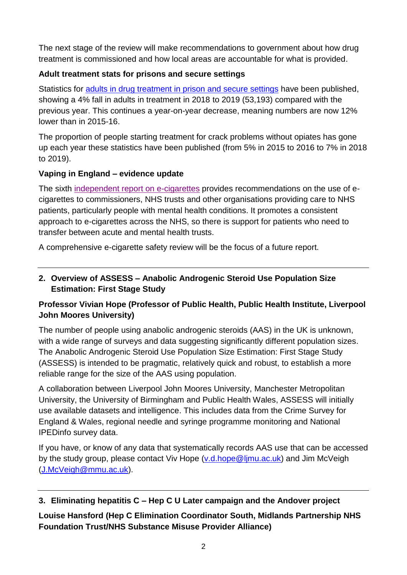The next stage of the review will make recommendations to government about how drug treatment is commissioned and how local areas are accountable for what is provided.

## **Adult treatment stats for prisons and secure settings**

Statistics for [adults in drug treatment in prison and secure settings](https://www.gov.uk/government/statistics/substance-misuse-treatment-in-secure-settings-2018-to-2019) have been published, showing a 4% fall in adults in treatment in 2018 to 2019 (53,193) compared with the previous year. This continues a year-on-year decrease, meaning numbers are now 12% lower than in 2015-16.

The proportion of people starting treatment for crack problems without opiates has gone up each year these statistics have been published (from 5% in 2015 to 2016 to 7% in 2018 to 2019).

## **Vaping in England – evidence update**

The sixth [independent report on e-cigarettes](https://www.gov.uk/government/publications/vaping-in-england-evidence-update-march-2020) provides recommendations on the use of ecigarettes to commissioners, NHS trusts and other organisations providing care to NHS patients, particularly people with mental health conditions. It promotes a consistent approach to e-cigarettes across the NHS, so there is support for patients who need to transfer between acute and mental health trusts.

A comprehensive e-cigarette safety review will be the focus of a future report.

## **2. Overview of ASSESS – Anabolic Androgenic Steroid Use Population Size Estimation: First Stage Study**

## **Professor Vivian Hope (Professor of Public Health, Public Health Institute, Liverpool John Moores University)**

The number of people using anabolic androgenic steroids (AAS) in the UK is unknown, with a wide range of surveys and data suggesting significantly different population sizes. The Anabolic Androgenic Steroid Use Population Size Estimation: First Stage Study (ASSESS) is intended to be pragmatic, relatively quick and robust, to establish a more reliable range for the size of the AAS using population.

A collaboration between Liverpool John Moores University, Manchester Metropolitan University, the University of Birmingham and Public Health Wales, ASSESS will initially use available datasets and intelligence. This includes data from the Crime Survey for England & Wales, regional needle and syringe programme monitoring and National IPEDinfo survey data.

If you have, or know of any data that systematically records AAS use that can be accessed by the study group, please contact Viv Hope [\(v.d.hope@ljmu.ac.uk\)](mailto:v.d.hope@ljmu.ac.uk) and Jim McVeigh [\(J.McVeigh@mmu.ac.uk\)](mailto:J.McVeigh@mmu.ac.uk).

## **3. Eliminating hepatitis C – Hep C U Later campaign and the Andover project**

**Louise Hansford (Hep C Elimination Coordinator South, Midlands Partnership NHS Foundation Trust/NHS Substance Misuse Provider Alliance)**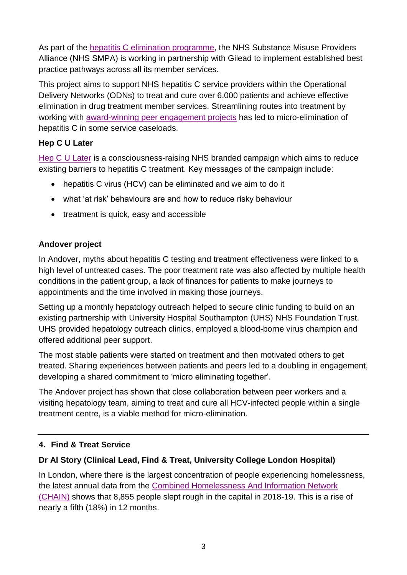As part of the [hepatitis C elimination programme,](https://www.england.nhs.uk/blog/our-aim-is-to-rid-england-of-the-hepatitis-c-virus/) the NHS Substance Misuse Providers Alliance (NHS SMPA) is working in partnership with Gilead to implement established best practice pathways across all its member services.

This project aims to support NHS hepatitis C service providers within the Operational Delivery Networks (ODNs) to treat and cure over 6,000 patients and achieve effective elimination in drug treatment member services. Streamlining routes into treatment by working with [award-winning peer engagement projects](https://www.mpft.nhs.uk/about-us/latest-news/national-partnership-hepatitis-c-elimination) has led to micro-elimination of hepatitis C in some service caseloads.

## **Hep C U Later**

[Hep C U Later](https://www.hepculater.com/) is a consciousness-raising NHS branded campaign which aims to reduce existing barriers to hepatitis C treatment. Key messages of the campaign include:

- hepatitis C virus (HCV) can be eliminated and we aim to do it
- what 'at risk' behaviours are and how to reduce risky behaviour
- treatment is quick, easy and accessible

## **Andover project**

In Andover, myths about hepatitis C testing and treatment effectiveness were linked to a high level of untreated cases. The poor treatment rate was also affected by multiple health conditions in the patient group, a lack of finances for patients to make journeys to appointments and the time involved in making those journeys.

Setting up a monthly hepatology outreach helped to secure clinic funding to build on an existing partnership with University Hospital Southampton (UHS) NHS Foundation Trust. UHS provided hepatology outreach clinics, employed a blood-borne virus champion and offered additional peer support.

The most stable patients were started on treatment and then motivated others to get treated. Sharing experiences between patients and peers led to a doubling in engagement, developing a shared commitment to 'micro eliminating together'.

The Andover project has shown that close collaboration between peer workers and a visiting hepatology team, aiming to treat and cure all HCV-infected people within a single treatment centre, is a viable method for micro-elimination.

## **4. Find & Treat Service**

## **Dr Al Story (Clinical Lead, Find & Treat, University College London Hospital)**

In London, where there is the largest concentration of people experiencing homelessness, the latest annual data from the Combined Homelessness [And Information Network](https://data.london.gov.uk/dataset/chain-reports)  [\(CHAIN\)](https://data.london.gov.uk/dataset/chain-reports) shows that 8,855 people slept rough in the capital in 2018-19. This is a rise of nearly a fifth (18%) in 12 months.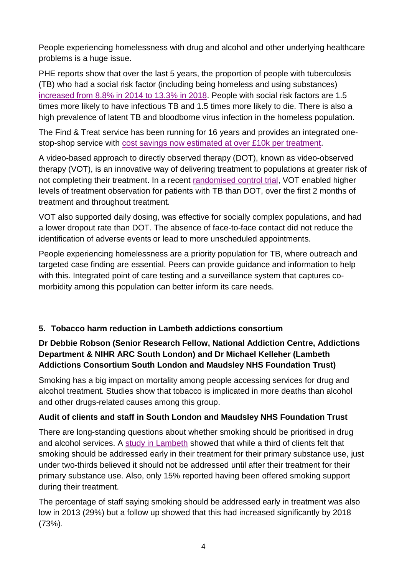People experiencing homelessness with drug and alcohol and other underlying healthcare problems is a huge issue.

PHE reports show that over the last 5 years, the proportion of people with tuberculosis (TB) who had a social risk factor (including being homeless and using substances) [increased from 8.8% in 2014 to 13.3% in 2018.](https://www.gov.uk/government/publications/tuberculosis-in-england-annual-report) People with social risk factors are 1.5 times more likely to have infectious TB and 1.5 times more likely to die. There is also a high prevalence of latent TB and bloodborne virus infection in the homeless population.

The Find & Treat service has been running for 16 years and provides an integrated onestop-shop service with cost savings now [estimated at over £10k per treatment.](https://www.researchgate.net/publication/337652068_The_cost-effectiveness_of_an_HCV_outreach_intervention_for_at-risk_populations_in_London_UK)

A video-based approach to directly observed therapy (DOT), known as video-observed therapy (VOT), is an innovative way of delivering treatment to populations at greater risk of not completing their treatment. In a recent [randomised control trial,](https://www.thelancet.com/journals/lancet/article/PIIS0140-6736(18)32993-3/fulltext) VOT enabled higher levels of treatment observation for patients with TB than DOT, over the first 2 months of treatment and throughout treatment.

VOT also supported daily dosing, was effective for socially complex populations, and had a lower dropout rate than DOT. The absence of face-to-face contact did not reduce the identification of adverse events or lead to more unscheduled appointments.

People experiencing homelessness are a priority population for TB, where outreach and targeted case finding are essential. Peers can provide guidance and information to help with this. Integrated point of care testing and a surveillance system that captures comorbidity among this population can better inform its care needs.

## **5. Tobacco harm reduction in Lambeth addictions consortium**

## **Dr Debbie Robson (Senior Research Fellow, National Addiction Centre, Addictions Department & NIHR ARC South London) and Dr Michael Kelleher (Lambeth Addictions Consortium South London and Maudsley NHS Foundation Trust)**

Smoking has a big impact on mortality among people accessing services for drug and alcohol treatment. Studies show that tobacco is implicated in more deaths than alcohol and other drugs-related causes among this group.

## **Audit of clients and staff in South London and Maudsley NHS Foundation Trust**

There are long-standing questions about whether smoking should be prioritised in drug and alcohol services. A [study in Lambeth](https://www.ncbi.nlm.nih.gov/pubmed/25017205) showed that while a third of clients felt that smoking should be addressed early in their treatment for their primary substance use, just under two-thirds believed it should not be addressed until after their treatment for their primary substance use. Also, only 15% reported having been offered smoking support during their treatment.

The percentage of staff saying smoking should be addressed early in treatment was also low in 2013 (29%) but a follow up showed that this had increased significantly by 2018 (73%).